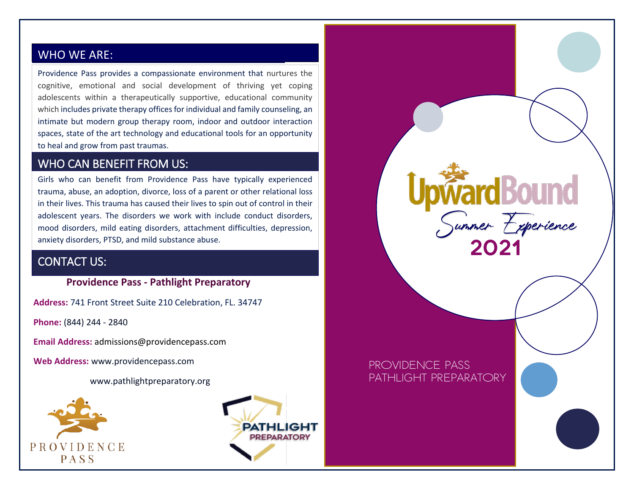## WHO WE ARE: WHO WE ARE:

Providence Pass provides a compassionate environment that nurtures the cognitive, emotional and social development of thriving yet coping adolescents within a therapeutically supportive, educational community which includes private therapy offices for individual and family counseling, an intimate but modern group therapy room, indoor and outdoor interaction spaces, state of the art technology and educational tools for an opportunity to heal and grow from past traumas.

## WHO CAN BENEFIT FROM US:

Girls who can benefit from Providence Pass have typically experienced trauma, abuse, an adoption, divorce, loss of a parent or other relational loss in their lives. This trauma has caused their lives to spin out of control in their adolescent years. The disorders we work with include conduct disorders, mood disorders, mild eating disorders, attachment difficulties, depression, anxiety disorders, PTSD, and mild substance abuse.

## CONTACT US:

#### **Providence Pass - Pathlight Preparatory**

**Address:** 741 Front Street Suite 210 Celebration, FL. 34747

**Phone:** (844) 244 - 2840

**Email Address:** admissions@providencepass.com

**Web Address:** www.providencepass.com

www.pathlightpreparatory.org





Providence Pass

PATHI IGHT PREPARATORY

Upward Bound<br>Summer Experience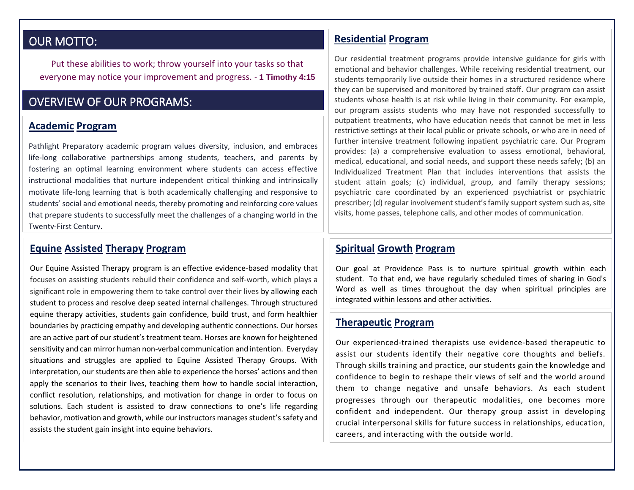## OUR MOTTO:

I Put these abilities to work; throw yourself into your tasks so that everyone may notice your improvement and progress. *-* **1 Timothy 4:15** 

## OVERVIEW OF OUR PROGRAMS:

#### **Academic Program**

Pathlight Preparatory academic program values diversity, inclusion, and embraces life-long collaborative partnerships among students, teachers, and parents by fostering an optimal learning environment where students can access effective instructional modalities that nurture independent critical thinking and intrinsically motivate life-long learning that is both academically challenging and responsive to students' social and emotional needs, thereby promoting and reinforcing core values that prepare students to successfully meet the challenges of a changing world in the Twenty-First Century.

#### **Equine Assisted Therapy Program**

Our Equine Assisted Therapy program is an effective evidence-based modality that focuses on assisting students rebuild their confidence and self-worth, which plays a significant role in empowering them to take control over their lives by allowing each student to process and resolve deep seated internal challenges. Through structured equine therapy activities, students gain confidence, build trust, and form healthier boundaries by practicing empathy and developing authentic connections. Our horses are an active part of our student's treatment team. Horses are known for heightened sensitivity and can mirror human non-verbal communication and intention. Everyday situations and struggles are applied to Equine Assisted Therapy Groups. With interpretation, our students are then able to experience the horses' actions and then apply the scenarios to their lives, teaching them how to handle social interaction, conflict resolution, relationships, and motivation for change in order to focus on solutions. Each student is assisted to draw connections to one's life regarding behavior, motivation and growth, while our instructors manages student's safety and assists the student gain insight into equine behaviors.

#### **Residential Program**

Our residential treatment programs provide intensive guidance for girls with emotional and behavior challenges. While receiving residential treatment, our students temporarily live outside their homes in a structured residence where they can be supervised and monitored by trained staff. Our program can assist students whose health is at risk while living in their community. For example, our program assists students who may have not responded successfully to outpatient treatments, who have education needs that cannot be met in less restrictive settings at their local public or private schools, or who are in need of further intensive treatment following inpatient psychiatric care. Our Program provides: (a) a comprehensive evaluation to assess emotional, behavioral, medical, educational, and social needs, and support these needs safely; (b) an Individualized Treatment Plan that includes interventions that assists the student attain goals; (c) individual, group, and family therapy sessions; psychiatric care coordinated by an experienced psychiatrist or psychiatric prescriber; (d) regular involvement student's family support system such as, site visits, home passes, telephone calls, and other modes of communication.

#### **Spiritual Growth Program**

Our goal at Providence Pass is to nurture spiritual growth within each student. To that end, we have regularly scheduled times of sharing in God's Word as well as times throughout the day when spiritual principles are integrated within lessons and other activities.

#### **Therapeutic Program**

Our experienced-trained therapists use evidence-based therapeutic to assist our students identify their negative core thoughts and beliefs. Through skills training and practice, our students gain the knowledge and confidence to begin to reshape their views of self and the world around them to change negative and unsafe behaviors. As each student progresses through our therapeutic modalities, one becomes more confident and independent. Our therapy group assist in developing crucial interpersonal skills for future success in relationships, education, careers, and interacting with the outside world.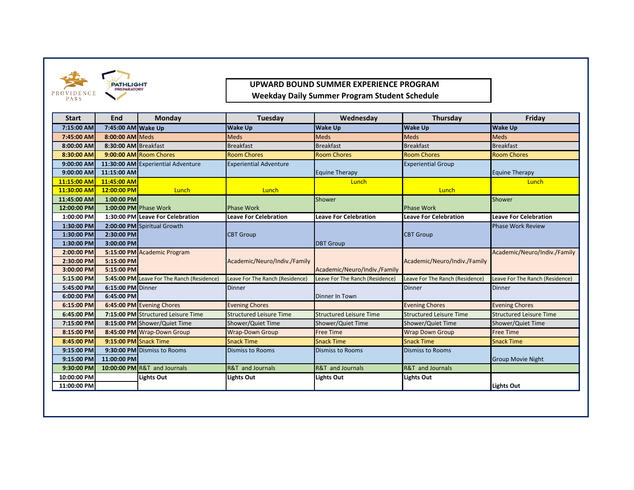



# **UPWARD BOUND SUMMER EXPERIENCE PROGRAM**

 **Weekday Daily Summer Program Student Schedule** 

| <b>Start</b> | End                   | Monday                                     | Tuesday                         | Wednesday                       | Thursday                        | Friday                          |
|--------------|-----------------------|--------------------------------------------|---------------------------------|---------------------------------|---------------------------------|---------------------------------|
| 7:15:00 AM   | 7:45:00 AM Wake Up    |                                            | <b>Wake Up</b>                  | <b>Wake Up</b>                  | <b>Wake Up</b>                  | <b>Wake Up</b>                  |
| 7:45:00 AM   | 8:00:00 AM Meds       |                                            | <b>Meds</b>                     | <b>Meds</b>                     | <b>Meds</b>                     | <b>Meds</b>                     |
| 8:00:00 AM   | 8:30:00 AM Breakfast  |                                            | <b>Breakfast</b>                | <b>Breakfast</b>                | <b>Breakfast</b>                | <b>Breakfast</b>                |
| 8:30:00 AM   |                       | 9:00:00 AM Room Chores                     | <b>Room Chores</b>              | <b>Room Chores</b>              | <b>Room Chores</b>              | <b>Room Chores</b>              |
| 9:00:00 AM   |                       | 11:30:00 AM Experiential Adventure         | <b>Experiential Adventure</b>   |                                 | <b>Experiential Group</b>       |                                 |
| 9:00:00 AM   | 11:15:00 AM           |                                            |                                 | <b>Equine Therapy</b>           |                                 | <b>Equine Therapy</b>           |
| 11:15:00 AM  | 11:45:00 AM           |                                            |                                 | Lunch                           |                                 | Lunch                           |
| 11:30:00 AM  | 12:00:00 PM           | Lunch                                      | Lunch                           |                                 | Lunch                           |                                 |
| 11:45:00 AM  | 1:00:00 PM            |                                            |                                 | Shower                          |                                 | Shower                          |
| 12:00:00 PM  | 1:00:00 PM Phase Work |                                            | <b>Phase Work</b>               |                                 | <b>Phase Work</b>               |                                 |
| 1:00:00 PM   |                       | 1:30:00 PM Leave For Celebration           | <b>Leave For Celebration</b>    | <b>Leave For Celebration</b>    | <b>Leave For Celebration</b>    | <b>Leave For Celebration</b>    |
| 1:30:00 PM   |                       | 2:00:00 PM Spiritual Growth                |                                 |                                 |                                 | <b>Phase Work Review</b>        |
| 1:30:00 PM   | 2:30:00 PM            |                                            | <b>CBT Group</b>                |                                 | <b>CBT Group</b>                |                                 |
| 1:30:00 PM   | 3:00:00 PM            |                                            |                                 | <b>DBT Group</b>                |                                 |                                 |
| 2:00:00 PM   |                       | 5:15:00 PM Academic Program                |                                 |                                 |                                 | Academic/Neuro/Indiv./Family    |
| 2:30:00 PM   | 5:15:00 PM            |                                            | Academic/Neuro/Indiv./Family    |                                 | Academic/Neuro/Indiv./Family    |                                 |
| 3:00:00 PM   | 5:15:00 PM            |                                            |                                 | Academic/Neuro/Indiv./Family    |                                 |                                 |
| 5:15:00 PM   |                       | 5:45:00 PM Leave For The Ranch (Residence) | Leave For The Ranch (Residence) | Leave For The Ranch (Residence) | Leave For The Ranch (Residence) | Leave For The Ranch (Residence) |
| 5:45:00 PM   | 6:15:00 PM Dinner     |                                            | <b>Dinner</b>                   |                                 | <b>Dinner</b>                   | <b>Dinner</b>                   |
| 6:00:00 PM   | 6:45:00 PM            |                                            |                                 | Dinner In Town                  |                                 |                                 |
| 6:15:00 PM   |                       | 6:45:00 PM Evening Chores                  | <b>Evening Chores</b>           |                                 | <b>Evening Chores</b>           | <b>Evening Chores</b>           |
| 6:45:00 PM   |                       | 7:15:00 PM Structured Leisure Time         | <b>Structured Leisure Time</b>  | <b>Structured Leisure Time</b>  | <b>Structured Leisure Time</b>  | <b>Structured Leisure Time</b>  |
| 7:15:00 PM   |                       | 8:15:00 PM Shower/Quiet Time               | Shower/Quiet Time               | Shower/Quiet Time               | Shower/Quiet Time               | Shower/Quiet Time               |
| 8:15:00 PM   |                       | 8:45:00 PM Wrap-Down Group                 | <b>Wrap-Down Group</b>          | <b>Free Time</b>                | <b>Wrap Down Group</b>          | <b>Free Time</b>                |
| 8:45:00 PM   | 9:15:00 PM Snack Time |                                            | <b>Snack Time</b>               | <b>Snack Time</b>               | <b>Snack Time</b>               | <b>Snack Time</b>               |
| 9:15:00 PM   |                       | 9:30:00 PM Dismiss to Rooms                | <b>Dismiss to Rooms</b>         | <b>Dismiss to Rooms</b>         | <b>Dismiss to Rooms</b>         |                                 |
| 9:15:00 PM   | 11:00:00 PM           |                                            |                                 |                                 |                                 | <b>Group Movie Night</b>        |
| 9:30:00 PM   |                       | 10:00:00 PM R&T and Journals               | R&T and Journals                | R&T and Journals                | R&T and Journals                |                                 |
| 10:00:00 PM  |                       | <b>Lights Out</b>                          | <b>Lights Out</b>               | Lights Out                      | <b>Lights Out</b>               |                                 |
| 11:00:00 PM  |                       |                                            |                                 |                                 |                                 | Lights Out                      |
|              |                       |                                            |                                 |                                 |                                 |                                 |